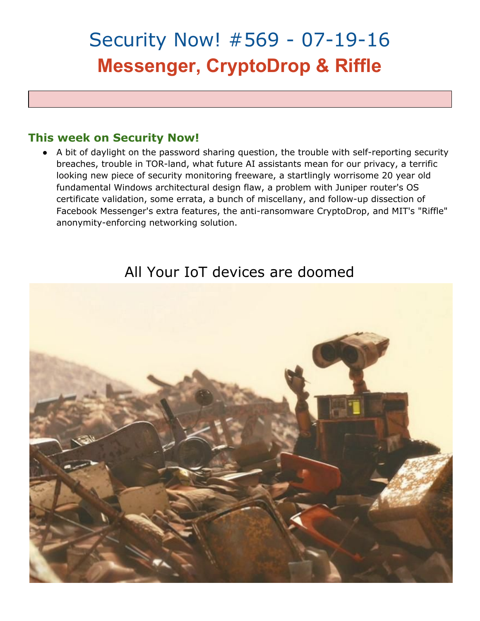# Security Now! #569 - 07-19-16 **Messenger, CryptoDrop & Riffle**

#### **This week on Security Now!**

• A bit of daylight on the password sharing question, the trouble with self-reporting security breaches, trouble in TOR-land, what future AI assistants mean for our privacy, a terrific looking new piece of security monitoring freeware, a startlingly worrisome 20 year old fundamental Windows architectural design flaw, a problem with Juniper router's OS certificate validation, some errata, a bunch of miscellany, and follow-up dissection of Facebook Messenger's extra features, the anti-ransomware CryptoDrop, and MIT's "Riffle" anonymity-enforcing networking solution.

### All Your IoT devices are doomed

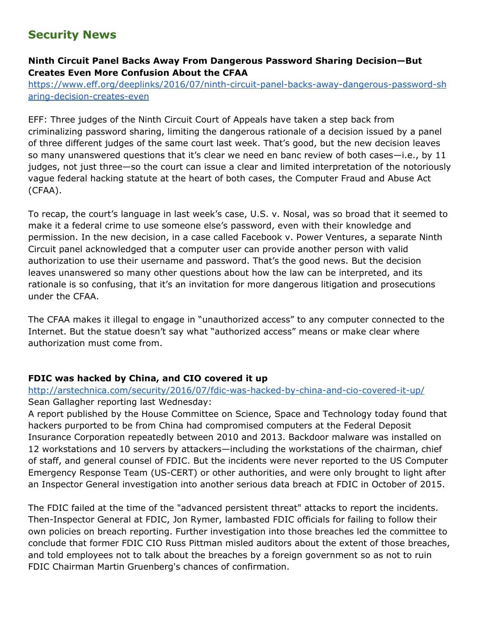#### **Security News**

#### **Ninth Circuit Panel Backs Away From Dangerous Password Sharing Decision—But Creates Even More Confusion About the CFAA**

https://www.eff.org/deeplinks/2016/07/ninth-circuit-panel-backs-away-dangerous-password-sh aring-decision-creates-even

EFF: Three judges of the Ninth Circuit Court of Appeals have taken a step back from criminalizing password sharing, limiting the dangerous rationale of a decision issued by a panel of three different judges of the same court last week. That's good, but the new decision leaves so many unanswered questions that it's clear we need en banc review of both cases-i.e., by 11 judges, not just three—so the court can issue a clear and limited interpretation of the notoriously vague federal hacking statute at the heart of both cases, the Computer Fraud and Abuse Act (CFAA).

To recap, the court's language in last week's case, U.S. v. Nosal, was so broad that it seemed to make it a federal crime to use someone else's password, even with their knowledge and permission. In the new decision, in a case called Facebook v. Power Ventures, a separate Ninth Circuit panel acknowledged that a computer user can provide another person with valid authorization to use their username and password. That's the good news. But the decision leaves unanswered so many other questions about how the law can be interpreted, and its rationale is so confusing, that it's an invitation for more dangerous litigation and prosecutions under the CFAA.

The CFAA makes it illegal to engage in "unauthorized access" to any computer connected to the Internet. But the statue doesn't say what "authorized access" means or make clear where authorization must come from.

#### **FDIC was hacked by China, and CIO covered it up**

#### http://arstechnica.com/security/2016/07/fdic-was-hacked-by-china-and-cio-covered-it-up/ Sean Gallagher reporting last Wednesday:

A report published by the House Committee on Science, Space and Technology today found that hackers purported to be from China had compromised computers at the Federal Deposit Insurance Corporation repeatedly between 2010 and 2013. Backdoor malware was installed on 12 workstations and 10 servers by attackers—including the workstations of the chairman, chief of staff, and general counsel of FDIC. But the incidents were never reported to the US Computer Emergency Response Team (US-CERT) or other authorities, and were only brought to light after an Inspector General investigation into another serious data breach at FDIC in October of 2015.

The FDIC failed at the time of the "advanced persistent threat" attacks to report the incidents. Then-Inspector General at FDIC, Jon Rymer, lambasted FDIC officials for failing to follow their own policies on breach reporting. Further investigation into those breaches led the committee to conclude that former FDIC CIO Russ Pittman misled auditors about the extent of those breaches, and told employees not to talk about the breaches by a foreign government so as not to ruin FDIC Chairman Martin Gruenberg's chances of confirmation.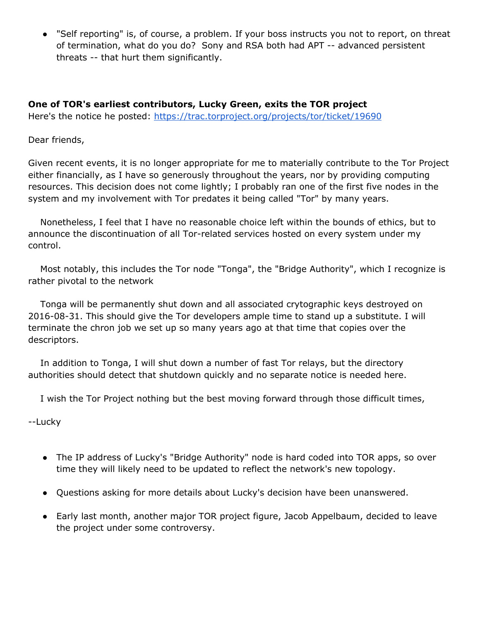● "Self reporting" is, of course, a problem. If your boss instructs you not to report, on threat of termination, what do you do? Sony and RSA both had APT -- advanced persistent threats -- that hurt them significantly.

**One of TOR's earliest contributors, Lucky Green, exits the TOR project** Here's the notice he posted: <https://trac.torproject.org/projects/tor/ticket/19690>

Dear friends,

Given recent events, it is no longer appropriate for me to materially contribute to the Tor Project either financially, as I have so generously throughout the years, nor by providing computing resources. This decision does not come lightly; I probably ran one of the first five nodes in the system and my involvement with Tor predates it being called "Tor" by many years.

Nonetheless, I feel that I have no reasonable choice left within the bounds of ethics, but to announce the discontinuation of all Tor-related services hosted on every system under my control.

Most notably, this includes the Tor node "Tonga", the "Bridge Authority", which I recognize is rather pivotal to the network

Tonga will be permanently shut down and all associated crytographic keys destroyed on 2016-08-31. This should give the Tor developers ample time to stand up a substitute. I will terminate the chron job we set up so many years ago at that time that copies over the descriptors.

In addition to Tonga, I will shut down a number of fast Tor relays, but the directory authorities should detect that shutdown quickly and no separate notice is needed here.

I wish the Tor Project nothing but the best moving forward through those difficult times,

--Lucky

- The IP address of Lucky's "Bridge Authority" node is hard coded into TOR apps, so over time they will likely need to be updated to reflect the network's new topology.
- Questions asking for more details about Lucky's decision have been unanswered.
- Early last month, another major TOR project figure, Jacob Appelbaum, decided to leave the project under some controversy.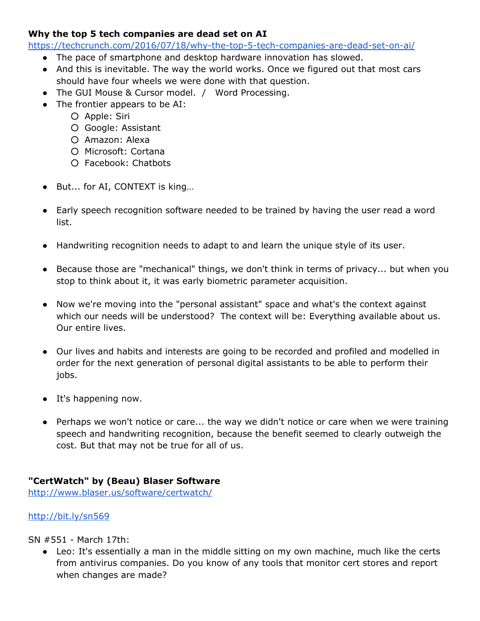#### **Why the top 5 tech companies are dead set on AI**

https://techcrunch.com/2016/07/18/why-the-top-5-tech-companies-are-dead-set-on-ai/

- The pace of smartphone and desktop hardware innovation has slowed.
- And this is inevitable. The way the world works. Once we figured out that most cars should have four wheels we were done with that question.
- The GUI Mouse & Cursor model. / Word Processing.
- The frontier appears to be AI:
	- Apple: Siri
	- Google: Assistant
	- Amazon: Alexa
	- Microsoft: Cortana
	- Facebook: Chatbots
- But... for AI, CONTEXT is king...
- Early speech recognition software needed to be trained by having the user read a word list.
- Handwriting recognition needs to adapt to and learn the unique style of its user.
- Because those are "mechanical" things, we don't think in terms of privacy... but when you stop to think about it, it was early biometric parameter acquisition.
- Now we're moving into the "personal assistant" space and what's the context against which our needs will be understood? The context will be: Everything available about us. Our entire lives.
- Our lives and habits and interests are going to be recorded and profiled and modelled in order for the next generation of personal digital assistants to be able to perform their jobs.
- It's happening now.
- Perhaps we won't notice or care... the way we didn't notice or care when we were training speech and handwriting recognition, because the benefit seemed to clearly outweigh the cost. But that may not be true for all of us.

#### **"CertWatch" by (Beau) Blaser Software**

<http://www.blaser.us/software/certwatch/>

#### <http://bit.ly/sn569>

SN #551 - March 17th:

● Leo: It's essentially a man in the middle sitting on my own machine, much like the certs from antivirus companies. Do you know of any tools that monitor cert stores and report when changes are made?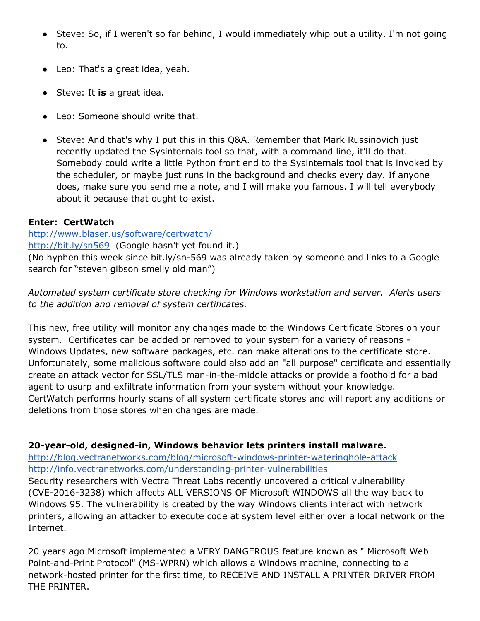- Steve: So, if I weren't so far behind, I would immediately whip out a utility. I'm not going to.
- Leo: That's a great idea, yeah.
- Steve: It **is**a great idea.
- Leo: Someone should write that.
- Steve: And that's why I put this in this Q&A. Remember that Mark Russinovich just recently updated the Sysinternals tool so that, with a command line, it'll do that. Somebody could write a little Python front end to the Sysinternals tool that is invoked by the scheduler, or maybe just runs in the background and checks every day. If anyone does, make sure you send me a note, and I will make you famous. I will tell everybody about it because that ought to exist.

#### **Enter: CertWatch**

#### <http://www.blaser.us/software/certwatch/>

<http://bit.ly/sn569> (Google hasn't yet found it.)

(No hyphen this week since bit.ly/sn-569 was already taken by someone and links to a Google search for "steven gibson smelly old man")

*Automated system certificate store checking for Windows workstation and server. Alerts users to the addition and removal of system certificates.*

This new, free utility will monitor any changes made to the Windows Certificate Stores on your system. Certificates can be added or removed to your system for a variety of reasons -Windows Updates, new software packages, etc. can make alterations to the certificate store. Unfortunately, some malicious software could also add an "all purpose" certificate and essentially create an attack vector for SSL/TLS man-in-the-middle attacks or provide a foothold for a bad agent to usurp and exfiltrate information from your system without your knowledge. CertWatch performs hourly scans of all system certificate stores and will report any additions or deletions from those stores when changes are made.

#### **20-year-old, designed-in, Windows behavior lets printers install malware.**

http://blog.vectranetworks.com/blog/microsoft-windows-printer-wateringhole-attack http://info.vectranetworks.com/understanding-printer-vulnerabilities

Security researchers with Vectra Threat Labs recently uncovered a critical vulnerability (CVE-2016-3238) which affects ALL VERSIONS OF Microsoft WINDOWS all the way back to Windows 95. The vulnerability is created by the way Windows clients interact with network printers, allowing an attacker to execute code at system level either over a local network or the Internet.

20 years ago Microsoft implemented a VERY DANGEROUS feature known as " Microsoft Web Point-and-Print Protocol" (MS-WPRN) which allows a Windows machine, connecting to a network-hosted printer for the first time, to RECEIVE AND INSTALL A PRINTER DRIVER FROM THE PRINTER.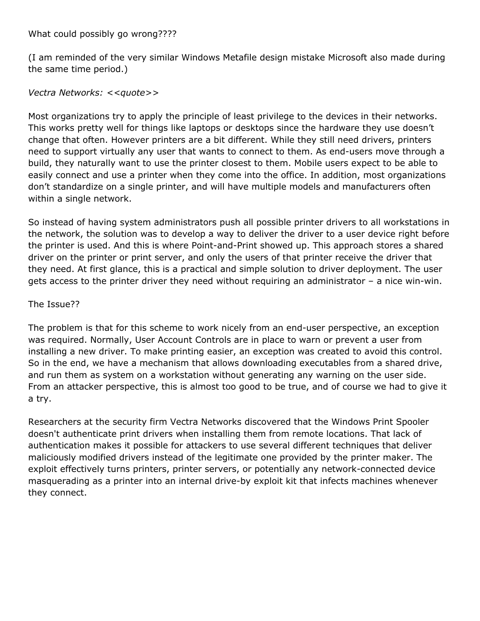What could possibly go wrong????

(I am reminded of the very similar Windows Metafile design mistake Microsoft also made during the same time period.)

*Vectra Networks: <<quote>>*

Most organizations try to apply the principle of least privilege to the devices in their networks. This works pretty well for things like laptops or desktops since the hardware they use doesn't change that often. However printers are a bit different. While they still need drivers, printers need to support virtually any user that wants to connect to them. As end-users move through a build, they naturally want to use the printer closest to them. Mobile users expect to be able to easily connect and use a printer when they come into the office. In addition, most organizations don't standardize on a single printer, and will have multiple models and manufacturers often within a single network.

So instead of having system administrators push all possible printer drivers to all workstations in the network, the solution was to develop a way to deliver the driver to a user device right before the printer is used. And this is where Point-and-Print showed up. This approach stores a shared driver on the printer or print server, and only the users of that printer receive the driver that they need. At first glance, this is a practical and simple solution to driver deployment. The user gets access to the printer driver they need without requiring an administrator  $-$  a nice win-win.

#### The Issue??

The problem is that for this scheme to work nicely from an end-user perspective, an exception was required. Normally, User Account Controls are in place to warn or prevent a user from installing a new driver. To make printing easier, an exception was created to avoid this control. So in the end, we have a mechanism that allows downloading executables from a shared drive, and run them as system on a workstation without generating any warning on the user side. From an attacker perspective, this is almost too good to be true, and of course we had to give it a try.

Researchers at the security firm Vectra Networks discovered that the Windows Print Spooler doesn't authenticate print drivers when installing them from remote locations. That lack of authentication makes it possible for attackers to use several different techniques that deliver maliciously modified drivers instead of the legitimate one provided by the printer maker. The exploit effectively turns printers, printer servers, or potentially any network-connected device masquerading as a printer into an internal drive-by exploit kit that infects machines whenever they connect.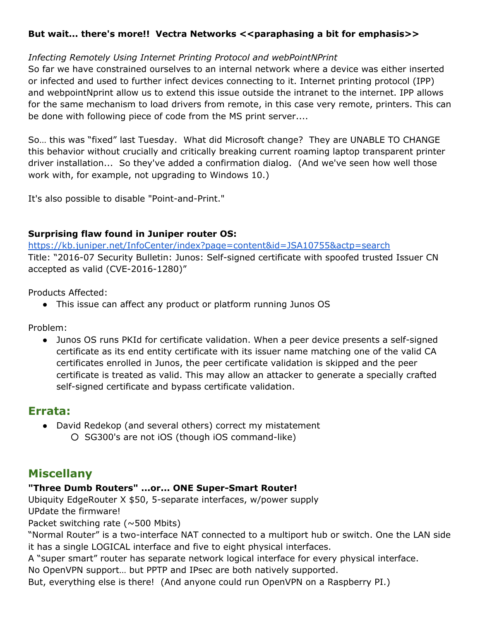#### **But wait... there's more!! Vectra Networks <<paraphasing a bit for emphasis>>**

#### *Infecting Remotely Using Internet Printing Protocol and webPointNPrint*

So far we have constrained ourselves to an internal network where a device was either inserted or infected and used to further infect devices connecting to it. Internet printing protocol (IPP) and webpointNprint allow us to extend this issue outside the intranet to the internet. IPP allows for the same mechanism to load drivers from remote, in this case very remote, printers. This can be done with following piece of code from the MS print server....

So… this was "fixed" last Tuesday. What did Microsoft change? They are UNABLE TO CHANGE this behavior without crucially and critically breaking current roaming laptop transparent printer driver installation... So they've added a confirmation dialog. (And we've seen how well those work with, for example, not upgrading to Windows 10.)

It's also possible to disable "Point-and-Print."

#### **Surprising flaw found in Juniper router OS:**

<https://kb.juniper.net/InfoCenter/index?page=content&id=JSA10755&actp=search> Title: "2016-07 Security Bulletin: Junos: Self-signed certificate with spoofed trusted Issuer CN accepted as valid (CVE-2016-1280)"

Products Affected:

• This issue can affect any product or platform running Junos OS

Problem:

• Junos OS runs PKId for certificate validation. When a peer device presents a self-signed certificate as its end entity certificate with its issuer name matching one of the valid CA certificates enrolled in Junos, the peer certificate validation is skipped and the peer certificate is treated as valid. This may allow an attacker to generate a specially crafted self-signed certificate and bypass certificate validation.

#### **Errata:**

- David Redekop (and several others) correct my mistatement
	- O SG300's are not iOS (though iOS command-like)

#### **Miscellany**

#### **"Three Dumb Routers" ...or... ONE SuperSmart Router!**

Ubiquity EdgeRouter X \$50, 5-separate interfaces, w/power supply UPdate the firmware!

Packet switching rate (~500 Mbits)

"Normal Router" is a two-interface NAT connected to a multiport hub or switch. One the LAN side it has a single LOGICAL interface and five to eight physical interfaces.

A "super smart" router has separate network logical interface for every physical interface.

No OpenVPN support… but PPTP and IPsec are both natively supported.

But, everything else is there! (And anyone could run OpenVPN on a Raspberry PI.)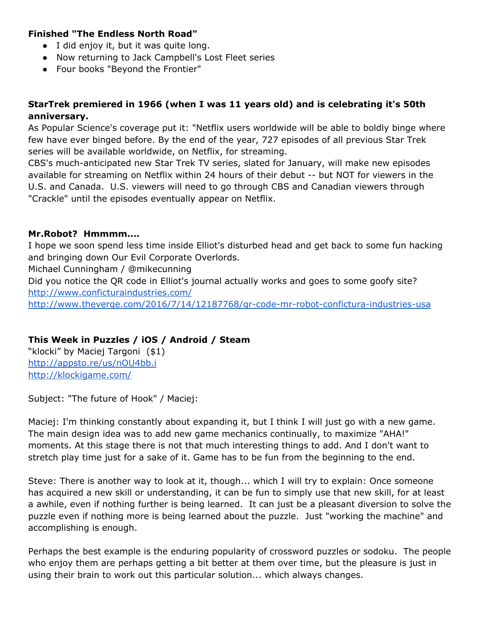#### **Finished "The Endless North Road"**

- I did enjoy it, but it was quite long.
- Now returning to Jack Campbell's Lost Fleet series
- Four books "Beyond the Frontier"

#### **StarTrek premiered in 1966 (when I was 11 years old) and is celebrating it's 50th anniversary.**

As Popular Science's coverage put it: "Netflix users worldwide will be able to boldly binge where few have ever binged before. By the end of the year, 727 episodes of all previous Star Trek series will be available worldwide, on Netflix, for streaming.

CBS's much-anticipated new Star Trek TV series, slated for January, will make new episodes available for streaming on Netflix within 24 hours of their debut -- but NOT for viewers in the U.S. and Canada. U.S. viewers will need to go through CBS and Canadian viewers through "Crackle" until the episodes eventually appear on Netflix.

#### **Mr.Robot? Hmmmm....**

I hope we soon spend less time inside Elliot's disturbed head and get back to some fun hacking and bringing down Our Evil Corporate Overlords.

Michael Cunningham / @mikecunning

Did you notice the QR code in Elliot's journal actually works and goes to some goofy site? <http://www.conficturaindustries.com/>

http://www.theverge.com/2016/7/14/12187768/gr-code-mr-robot-confictura-industries-usa

#### **This Week in Puzzles / iOS / Android / Steam**

"klocki" by Maciej Targoni (\$1) <http://appsto.re/us/nOU4bb.i> <http://klockigame.com/>

Subject: "The future of Hook" / Maciej:

Maciej: I'm thinking constantly about expanding it, but I think I will just go with a new game. The main design idea was to add new game mechanics continually, to maximize "AHA!" moments. At this stage there is not that much interesting things to add. And I don't want to stretch play time just for a sake of it. Game has to be fun from the beginning to the end.

Steve: There is another way to look at it, though... which I will try to explain: Once someone has acquired a new skill or understanding, it can be fun to simply use that new skill, for at least a awhile, even if nothing further is being learned. It can just be a pleasant diversion to solve the puzzle even if nothing more is being learned about the puzzle. Just "working the machine" and accomplishing is enough.

Perhaps the best example is the enduring popularity of crossword puzzles or sodoku. The people who enjoy them are perhaps getting a bit better at them over time, but the pleasure is just in using their brain to work out this particular solution... which always changes.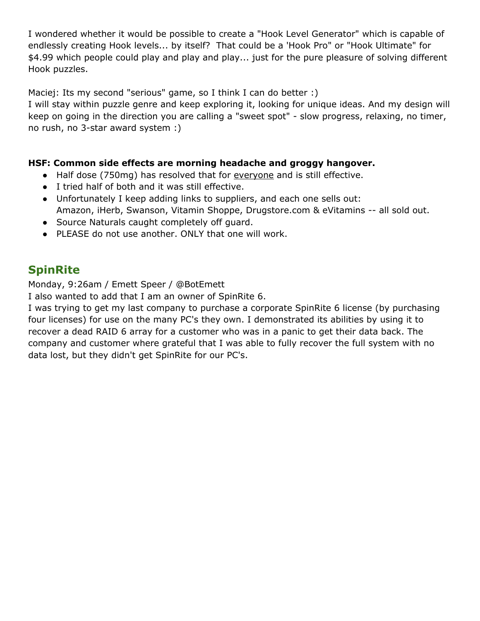I wondered whether it would be possible to create a "Hook Level Generator" which is capable of endlessly creating Hook levels... by itself? That could be a 'Hook Pro" or "Hook Ultimate" for \$4.99 which people could play and play and play... just for the pure pleasure of solving different Hook puzzles.

Maciej: Its my second "serious" game, so I think I can do better :)

I will stay within puzzle genre and keep exploring it, looking for unique ideas. And my design will keep on going in the direction you are calling a "sweet spot" - slow progress, relaxing, no timer, no rush, no 3-star award system :)

#### **HSF: Common side effects are morning headache and groggy hangover.**

- Half dose (750mg) has resolved that for everyone and is still effective.
- I tried half of both and it was still effective.
- Unfortunately I keep adding links to suppliers, and each one sells out: Amazon, iHerb, Swanson, Vitamin Shoppe, Drugstore.com & eVitamins -- all sold out.
- Source Naturals caught completely off guard.
- PLEASE do not use another. ONLY that one will work.

#### **SpinRite**

Monday, 9:26am / Emett Speer / @BotEmett

I also wanted to add that I am an owner of SpinRite 6.

I was trying to get my last company to purchase a corporate SpinRite 6 license (by purchasing four licenses) for use on the many PC's they own. I demonstrated its abilities by using it to recover a dead RAID 6 array for a customer who was in a panic to get their data back. The company and customer where grateful that I was able to fully recover the full system with no data lost, but they didn't get SpinRite for our PC's.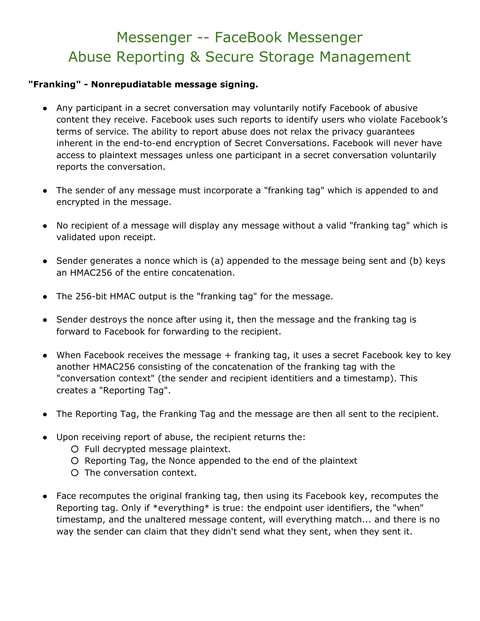## Messenger -- FaceBook Messenger Abuse Reporting & Secure Storage Management

#### **"Franking" Nonrepudiatable message signing.**

- Any participant in a secret conversation may voluntarily notify Facebook of abusive content they receive. Facebook uses such reports to identify users who violate Facebook's terms of service. The ability to report abuse does not relax the privacy guarantees inherent in the end-to-end encryption of Secret Conversations. Facebook will never have access to plaintext messages unless one participant in a secret conversation voluntarily reports the conversation.
- The sender of any message must incorporate a "franking tag" which is appended to and encrypted in the message.
- No recipient of a message will display any message without a valid "franking tag" which is validated upon receipt.
- Sender generates a nonce which is (a) appended to the message being sent and (b) keys an HMAC256 of the entire concatenation.
- The 256-bit HMAC output is the "franking tag" for the message.
- Sender destroys the nonce after using it, then the message and the franking tag is forward to Facebook for forwarding to the recipient.
- When Facebook receives the message + franking tag, it uses a secret Facebook key to key another HMAC256 consisting of the concatenation of the franking tag with the "conversation context" (the sender and recipient identitiers and a timestamp). This creates a "Reporting Tag".
- The Reporting Tag, the Franking Tag and the message are then all sent to the recipient.
- Upon receiving report of abuse, the recipient returns the:
	- Full decrypted message plaintext.
	- Reporting Tag, the Nonce appended to the end of the plaintext
	- The conversation context.
- Face recomputes the original franking tag, then using its Facebook key, recomputes the Reporting tag. Only if \*everything\* is true: the endpoint user identifiers, the "when" timestamp, and the unaltered message content, will everything match... and there is no way the sender can claim that they didn't send what they sent, when they sent it.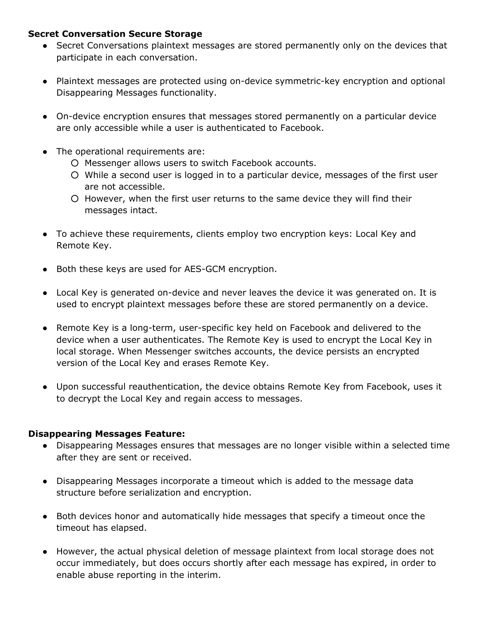#### **Secret Conversation Secure Storage**

- Secret Conversations plaintext messages are stored permanently only on the devices that participate in each conversation.
- Plaintext messages are protected using on-device symmetric-key encryption and optional Disappearing Messages functionality.
- On-device encryption ensures that messages stored permanently on a particular device are only accessible while a user is authenticated to Facebook.
- The operational requirements are:
	- Messenger allows users to switch Facebook accounts.
	- While a second user is logged in to a particular device, messages of the first user are not accessible.
	- However, when the first user returns to the same device they will find their messages intact.
- To achieve these requirements, clients employ two encryption keys: Local Key and Remote Key.
- Both these keys are used for AES-GCM encryption.
- Local Key is generated on-device and never leaves the device it was generated on. It is used to encrypt plaintext messages before these are stored permanently on a device.
- Remote Key is a long-term, user-specific key held on Facebook and delivered to the device when a user authenticates. The Remote Key is used to encrypt the Local Key in local storage. When Messenger switches accounts, the device persists an encrypted version of the Local Key and erases Remote Key.
- Upon successful reauthentication, the device obtains Remote Key from Facebook, uses it to decrypt the Local Key and regain access to messages.

#### **Disappearing Messages Feature:**

- Disappearing Messages ensures that messages are no longer visible within a selected time after they are sent or received.
- Disappearing Messages incorporate a timeout which is added to the message data structure before serialization and encryption.
- Both devices honor and automatically hide messages that specify a timeout once the timeout has elapsed.
- However, the actual physical deletion of message plaintext from local storage does not occur immediately, but does occurs shortly after each message has expired, in order to enable abuse reporting in the interim.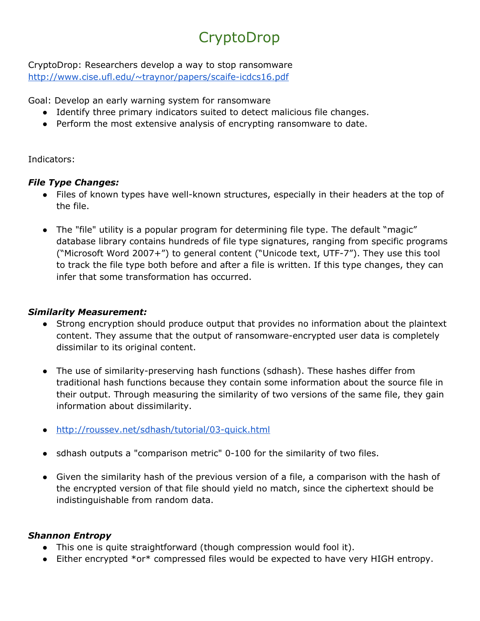# **CryptoDrop**

CryptoDrop: Researchers develop a way to stop ransomware http://www.cise.ufl.edu/~traynor/papers/scaife-icdcs16.pdf

Goal: Develop an early warning system for ransomware

- Identify three primary indicators suited to detect malicious file changes.
- Perform the most extensive analysis of encrypting ransomware to date.

#### Indicators:

#### *File Type Changes:*

- Files of known types have well-known structures, especially in their headers at the top of the file.
- The "file" utility is a popular program for determining file type. The default "magic" database library contains hundreds of file type signatures, ranging from specific programs ("Microsoft Word 2007+") to general content ("Unicode text, UTF-7"). They use this tool to track the file type both before and after a file is written. If this type changes, they can infer that some transformation has occurred.

#### *Similarity Measurement:*

- Strong encryption should produce output that provides no information about the plaintext content. They assume that the output of ransomware-encrypted user data is completely dissimilar to its original content.
- The use of similarity-preserving hash functions (sdhash). These hashes differ from traditional hash functions because they contain some information about the source file in their output. Through measuring the similarity of two versions of the same file, they gain information about dissimilarity.
- $\bullet$  http://roussev.net/sdhash/tutorial/03-quick.html
- sdhash outputs a "comparison metric" 0-100 for the similarity of two files.
- Given the similarity hash of the previous version of a file, a comparison with the hash of the encrypted version of that file should yield no match, since the ciphertext should be indistinguishable from random data.

#### *Shannon Entropy*

- This one is quite straightforward (though compression would fool it).
- Either encrypted \*or\* compressed files would be expected to have very HIGH entropy.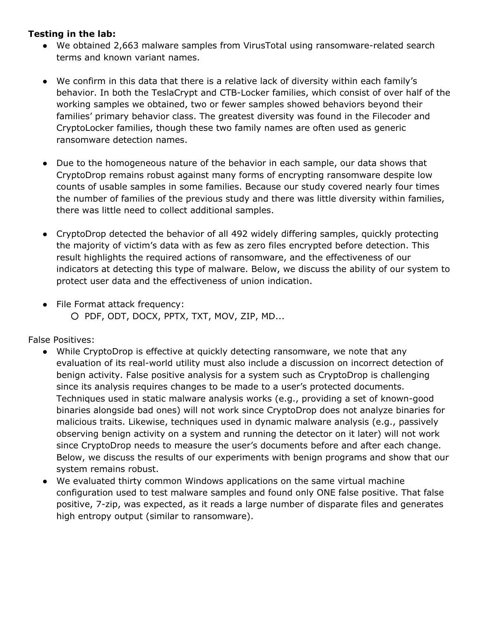#### **Testing in the lab:**

- We obtained 2,663 malware samples from VirusTotal using ransomware-related search terms and known variant names.
- We confirm in this data that there is a relative lack of diversity within each family's behavior. In both the TeslaCrypt and CTB-Locker families, which consist of over half of the working samples we obtained, two or fewer samples showed behaviors beyond their families' primary behavior class. The greatest diversity was found in the Filecoder and CryptoLocker families, though these two family names are often used as generic ransomware detection names.
- Due to the homogeneous nature of the behavior in each sample, our data shows that CryptoDrop remains robust against many forms of encrypting ransomware despite low counts of usable samples in some families. Because our study covered nearly four times the number of families of the previous study and there was little diversity within families, there was little need to collect additional samples.
- CryptoDrop detected the behavior of all 492 widely differing samples, quickly protecting the majority of victim's data with as few as zero files encrypted before detection. This result highlights the required actions of ransomware, and the effectiveness of our indicators at detecting this type of malware. Below, we discuss the ability of our system to protect user data and the effectiveness of union indication.
- File Format attack frequency: ○ PDF, ODT, DOCX, PPTX, TXT, MOV, ZIP, MD...

False Positives:

- While CryptoDrop is effective at quickly detecting ransomware, we note that any evaluation of its real-world utility must also include a discussion on incorrect detection of benign activity. False positive analysis for a system such as CryptoDrop is challenging since its analysis requires changes to be made to a user's protected documents. Techniques used in static malware analysis works (e.g., providing a set of known-good binaries alongside bad ones) will not work since CryptoDrop does not analyze binaries for malicious traits. Likewise, techniques used in dynamic malware analysis (e.g., passively observing benign activity on a system and running the detector on it later) will not work since CryptoDrop needs to measure the user's documents before and after each change. Below, we discuss the results of our experiments with benign programs and show that our system remains robust.
- We evaluated thirty common Windows applications on the same virtual machine configuration used to test malware samples and found only ONE false positive. That false positive, 7-zip, was expected, as it reads a large number of disparate files and generates high entropy output (similar to ransomware).